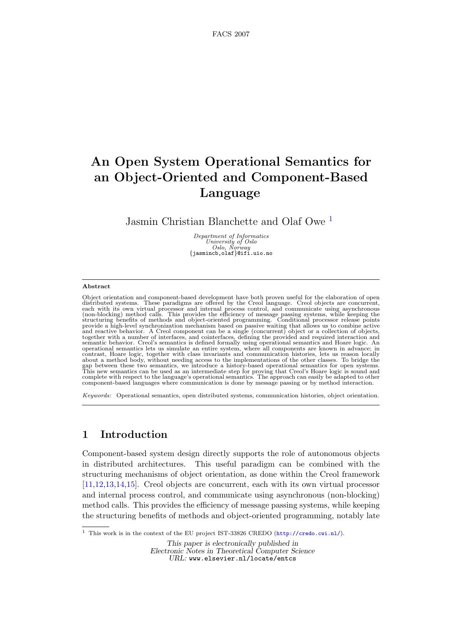# An Open System Operational Semantics for an Object-Oriented and Component-Based Language

### Jasmin Christian Blanchette and Olaf Owe<sup>[1](#page-0-0)</sup>

Department of Informatics University of Oslo<br>Oslo, Norway<br>{jasmincb,olaf}@ifi.uio.no

#### <span id="page-0-0"></span>Abstract

Object orientation and component-based development have both proven useful for the elaboration of open<br>distributed systems. These paradigms are offered by the Creol language. Creol objects are concurrent,<br>each with its own together with a number of interfaces, and cointerfaces, defining the provided and required interaction and<br>semantic behavior. Creol's semantics is defined formally using operational semantics and Hoare logic. An<br>operationa contrast, Hoare logic, together with class invariants and communication histories, lets us reason locally<br>about a method body, without needing access to the implementations of the other classes. To bridge the<br>gap between t component-based languages where communication is done by message passing or by method interaction.

Keywords: Operational semantics, open distributed systems, communication histories, object orientation.

## 1 Introduction

Component-based system design directly supports the role of autonomous objects in distributed architectures. This useful paradigm can be combined with the structuring mechanisms of object orientation, as done within the Creol framework [\[11](#page-14-0)[,12](#page-14-1)[,13,](#page-14-2)[14,](#page-14-3)[15\]](#page-14-4). Creol objects are concurrent, each with its own virtual processor and internal process control, and communicate using asynchronous (non-blocking) method calls. This provides the efficiency of message passing systems, while keeping the structuring benefits of methods and object-oriented programming, notably late

<sup>1</sup> This work is in the context of the EU project IST-33826 CREDO (<http://credo.cwi.nl/>).

This paper is electronically published in Electronic Notes in Theoretical Computer Science URL: www.elsevier.nl/locate/entcs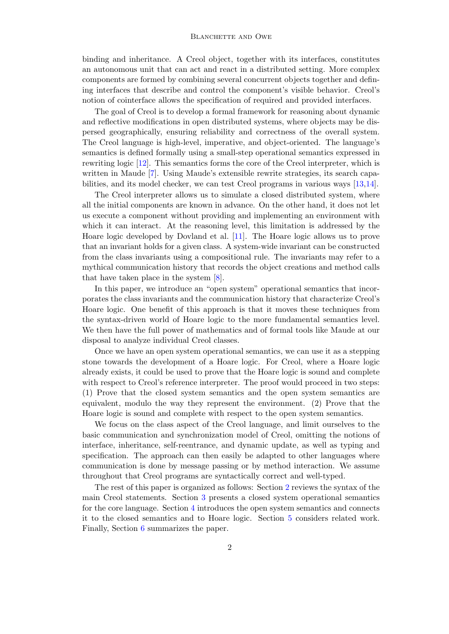binding and inheritance. A Creol object, together with its interfaces, constitutes an autonomous unit that can act and react in a distributed setting. More complex components are formed by combining several concurrent objects together and defining interfaces that describe and control the component's visible behavior. Creol's notion of cointerface allows the specification of required and provided interfaces.

The goal of Creol is to develop a formal framework for reasoning about dynamic and reflective modifications in open distributed systems, where objects may be dispersed geographically, ensuring reliability and correctness of the overall system. The Creol language is high-level, imperative, and object-oriented. The language's semantics is defined formally using a small-step operational semantics expressed in rewriting logic [\[12\]](#page-14-1). This semantics forms the core of the Creol interpreter, which is written in Maude [\[7\]](#page-14-5). Using Maude's extensible rewrite strategies, its search capabilities, and its model checker, we can test Creol programs in various ways [\[13](#page-14-2)[,14\]](#page-14-3).

The Creol interpreter allows us to simulate a closed distributed system, where all the initial components are known in advance. On the other hand, it does not let us execute a component without providing and implementing an environment with which it can interact. At the reasoning level, this limitation is addressed by the Hoare logic developed by Dovland et al. [\[11\]](#page-14-0). The Hoare logic allows us to prove that an invariant holds for a given class. A system-wide invariant can be constructed from the class invariants using a compositional rule. The invariants may refer to a mythical communication history that records the object creations and method calls that have taken place in the system [\[8\]](#page-14-6).

In this paper, we introduce an "open system" operational semantics that incorporates the class invariants and the communication history that characterize Creol's Hoare logic. One benefit of this approach is that it moves these techniques from the syntax-driven world of Hoare logic to the more fundamental semantics level. We then have the full power of mathematics and of formal tools like Maude at our disposal to analyze individual Creol classes.

Once we have an open system operational semantics, we can use it as a stepping stone towards the development of a Hoare logic. For Creol, where a Hoare logic already exists, it could be used to prove that the Hoare logic is sound and complete with respect to Creol's reference interpreter. The proof would proceed in two steps: (1) Prove that the closed system semantics and the open system semantics are equivalent, modulo the way they represent the environment. (2) Prove that the Hoare logic is sound and complete with respect to the open system semantics.

We focus on the class aspect of the Creol language, and limit ourselves to the basic communication and synchronization model of Creol, omitting the notions of interface, inheritance, self-reentrance, and dynamic update, as well as typing and specification. The approach can then easily be adapted to other languages where communication is done by message passing or by method interaction. We assume throughout that Creol programs are syntactically correct and well-typed.

The rest of this paper is organized as follows: Section [2](#page-2-0) reviews the syntax of the main Creol statements. Section [3](#page-3-0) presents a closed system operational semantics for the core language. Section [4](#page-7-0) introduces the open system semantics and connects it to the closed semantics and to Hoare logic. Section [5](#page-13-0) considers related work. Finally, Section [6](#page-13-1) summarizes the paper.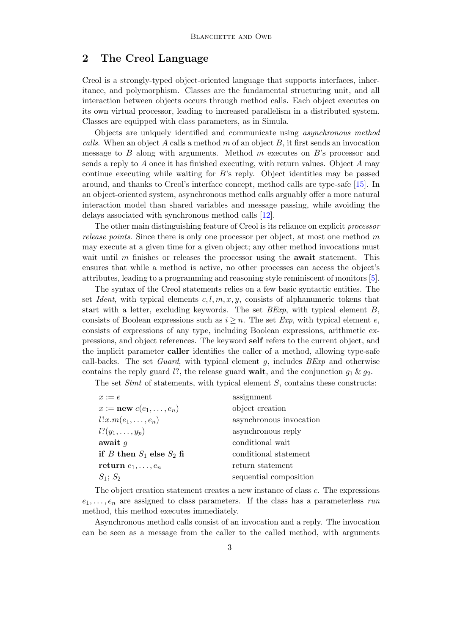### <span id="page-2-0"></span>2 The Creol Language

Creol is a strongly-typed object-oriented language that supports interfaces, inheritance, and polymorphism. Classes are the fundamental structuring unit, and all interaction between objects occurs through method calls. Each object executes on its own virtual processor, leading to increased parallelism in a distributed system. Classes are equipped with class parameters, as in Simula.

Objects are uniquely identified and communicate using asynchronous method calls. When an object  $A$  calls a method  $m$  of an object  $B$ , it first sends an invocation message to  $B$  along with arguments. Method  $m$  executes on  $B$ 's processor and sends a reply to A once it has finished executing, with return values. Object A may continue executing while waiting for  $B$ 's reply. Object identities may be passed around, and thanks to Creol's interface concept, method calls are type-safe [\[15\]](#page-14-4). In an object-oriented system, asynchronous method calls arguably offer a more natural interaction model than shared variables and message passing, while avoiding the delays associated with synchronous method calls [\[12\]](#page-14-1).

The other main distinguishing feature of Creol is its reliance on explicit processor release points. Since there is only one processor per object, at most one method  $m$ may execute at a given time for a given object; any other method invocations must wait until  $m$  finishes or releases the processor using the **await** statement. This ensures that while a method is active, no other processes can access the object's attributes, leading to a programming and reasoning style reminiscent of monitors [\[5\]](#page-14-7).

The syntax of the Creol statements relies on a few basic syntactic entities. The set Ident, with typical elements  $c, l, m, x, y$ , consists of alphanumeric tokens that start with a letter, excluding keywords. The set  $BExp$ , with typical element  $B$ , consists of Boolean expressions such as  $i \geq n$ . The set Exp, with typical element e, consists of expressions of any type, including Boolean expressions, arithmetic expressions, and object references. The keyword self refers to the current object, and the implicit parameter caller identifies the caller of a method, allowing type-safe call-backs. The set Guard, with typical element g, includes  $BExp$  and otherwise contains the reply guard l?, the release guard wait, and the conjunction  $g_1 \& g_2$ .

The set  $Stmt$  of statements, with typical element  $S$ , contains these constructs:

| $x := e$                                 | assignment              |
|------------------------------------------|-------------------------|
| $x := \textbf{new } c(e_1, \ldots, e_n)$ | object creation         |
| $l!x.m(e_1,\ldots,e_n)$                  | asynchronous invocation |
| $l?({y_1}, \ldots, y_p)$                 | asynchronous reply      |
| await $q$                                | conditional wait        |
| if B then $S_1$ else $S_2$ fi            | conditional statement   |
| return $e_1, \ldots, e_n$                | return statement        |
| $S_1; S_2$                               | sequential composition  |
|                                          |                         |

The object creation statement creates a new instance of class c. The expressions  $e_1, \ldots, e_n$  are assigned to class parameters. If the class has a parameterless run method, this method executes immediately.

Asynchronous method calls consist of an invocation and a reply. The invocation can be seen as a message from the caller to the called method, with arguments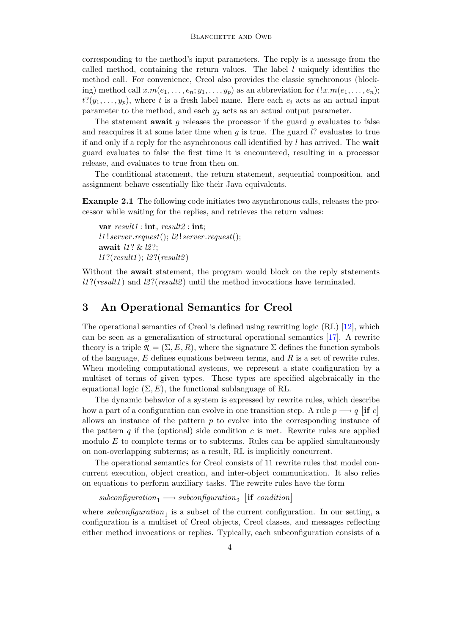corresponding to the method's input parameters. The reply is a message from the called method, containing the return values. The label  $l$  uniquely identifies the method call. For convenience, Creol also provides the classic synchronous (blocking) method call  $x.m(e_1, \ldots, e_n; y_1, \ldots, y_p)$  as an abbreviation for  $t!x.m(e_1, \ldots, e_n);$  $t?({y}_1,\ldots,{y}_p)$ , where t is a fresh label name. Here each  $e_i$  acts as an actual input parameter to the method, and each  $y_i$  acts as an actual output parameter.

The statement **await** q releases the processor if the guard q evaluates to false and reacquires it at some later time when  $q$  is true. The guard  $l$ ? evaluates to true if and only if a reply for the asynchronous call identified by  $l$  has arrived. The wait guard evaluates to false the first time it is encountered, resulting in a processor release, and evaluates to true from then on.

The conditional statement, the return statement, sequential composition, and assignment behave essentially like their Java equivalents.

Example 2.1 The following code initiates two asynchronous calls, releases the processor while waiting for the replies, and retrieves the return values:

var  $result1$ : int,  $result2$ : int;  $l1! server.request()$ ;  $l2! server.request()$ ; await  $11? \& 12?$ ;  $l1? (result1); l2? (result2)$ 

Without the **await** statement, the program would block on the reply statements  $l1? (result1)$  and  $l2? (result2)$  until the method invocations have terminated.

### <span id="page-3-0"></span>3 An Operational Semantics for Creol

The operational semantics of Creol is defined using rewriting logic (RL) [\[12\]](#page-14-1), which can be seen as a generalization of structural operational semantics [\[17\]](#page-14-8). A rewrite theory is a triple  $\mathcal{R} = (\Sigma, E, R)$ , where the signature  $\Sigma$  defines the function symbols of the language,  $E$  defines equations between terms, and  $R$  is a set of rewrite rules. When modeling computational systems, we represent a state configuration by a multiset of terms of given types. These types are specified algebraically in the equational logic  $(\Sigma, E)$ , the functional sublanguage of RL.

The dynamic behavior of a system is expressed by rewrite rules, which describe how a part of a configuration can evolve in one transition step. A rule  $p \longrightarrow q$  [if c] allows an instance of the pattern  $p$  to evolve into the corresponding instance of the pattern  $q$  if the (optional) side condition  $c$  is met. Rewrite rules are applied modulo  $E$  to complete terms or to subterms. Rules can be applied simultaneously on non-overlapping subterms; as a result, RL is implicitly concurrent.

The operational semantics for Creol consists of 11 rewrite rules that model concurrent execution, object creation, and inter-object communication. It also relies on equations to perform auxiliary tasks. The rewrite rules have the form

 $\textit{subconfiguration}_1 \longrightarrow \textit{subconfiguration}_2$  [if condition]

where *subconfiguration*<sub>1</sub> is a subset of the current configuration. In our setting, a configuration is a multiset of Creol objects, Creol classes, and messages reflecting either method invocations or replies. Typically, each subconfiguration consists of a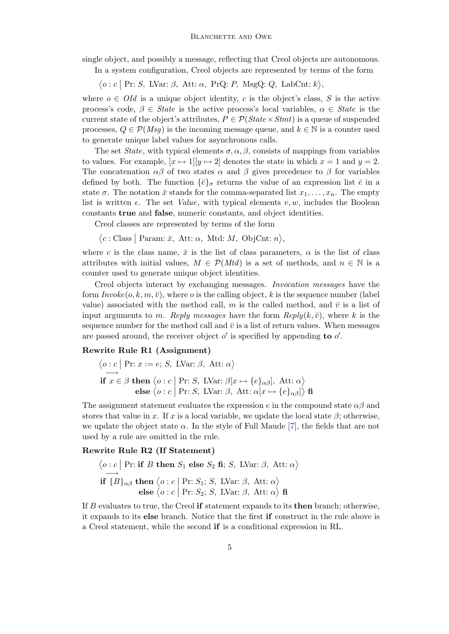single object, and possibly a message, reflecting that Creol objects are autonomous.

In a system configuration, Creol objects are represented by terms of the form

$$
\langle o : c |
$$
 Pr: S, LVar:  $\beta$ , Att:  $\alpha$ , PrQ: P, MsgQ: Q, LabCnt:  $k$ ),

where  $o \in Old$  is a unique object identity, c is the object's class, S is the active process's code,  $\beta \in State$  is the active process's local variables,  $\alpha \in State$  is the current state of the object's attributes,  $P \in \mathcal{P}(State \times Stmt)$  is a queue of suspended processes,  $Q \in \mathcal{P}(Msg)$  is the incoming message queue, and  $k \in \mathbb{N}$  is a counter used to generate unique label values for asynchronous calls.

The set State, with typical elements  $\sigma$ ,  $\alpha$ ,  $\beta$ , consists of mappings from variables to values. For example,  $[x \mapsto 1][y \mapsto 2]$  denotes the state in which  $x = 1$  and  $y = 2$ . The concatenation  $\alpha\beta$  of two states  $\alpha$  and  $\beta$  gives precedence to  $\beta$  for variables defined by both. The function  $\{\bar{e}\}_{\sigma}$  returns the value of an expression list  $\bar{e}$  in a state  $\sigma$ . The notation  $\bar{x}$  stands for the comma-separated list  $x_1, \ldots, x_n$ . The empty list is written  $\epsilon$ . The set *Value*, with typical elements  $v, w$ , includes the Boolean constants true and false, numeric constants, and object identities.

Creol classes are represented by terms of the form

 $\langle c : \text{Class} \mid \text{Param: } \bar{x}, \text{ Att: } \alpha, \text{ Mtd: } M, \text{ ObjCnt: } n \rangle,$ 

where c is the class name,  $\bar{x}$  is the list of class parameters,  $\alpha$  is the list of class attributes with initial values,  $M \in \mathcal{P}(Mtd)$  is a set of methods, and  $n \in \mathbb{N}$  is a counter used to generate unique object identities.

Creol objects interact by exchanging messages. Invocation messages have the form  $Invoke(o, k, m, \bar{v})$ , where o is the calling object, k is the sequence number (label value) associated with the method call, m is the called method, and  $\bar{v}$  is a list of input arguments to m. Reply messages have the form  $Reply(k, \bar{v})$ , where k is the sequence number for the method call and  $\bar{v}$  is a list of return values. When messages are passed around, the receiver object  $o'$  is specified by appending to  $o'$ .

#### Rewrite Rule R1 (Assignment)

$$
\langle o : c | \text{Pr: } x := e; S, \text{ LVar: } \beta, \text{ Att: } \alpha \rangle
$$
  
\n**if**  $x \in \beta$  **then**  $\langle o : c | \text{Pr: } S, \text{ LVar: } \beta[x \mapsto \{e\}_{\alpha\beta}], \text{ Att: } \alpha \rangle$   
\n**else**  $\langle o : c | \text{Pr: } S, \text{ LVar: } \beta, \text{ Att: } \alpha[x \mapsto \{e\}_{\alpha\beta}]\rangle$  **fi**

The assignment statement evaluates the expression e in the compound state  $\alpha\beta$  and stores that value in x. If x is a local variable, we update the local state  $\beta$ ; otherwise, we update the object state  $\alpha$ . In the style of Full Maude [\[7\]](#page-14-5), the fields that are not used by a rule are omitted in the rule.

#### Rewrite Rule R2 (If Statement)

$$
\langle o : c | \text{Pr: if } B \text{ then } S_1 \text{ else } S_2 \text{ fi}; S, \text{ LVar: } \beta, \text{ Att: } \alpha \rangle
$$
  
if  $\{B\}_{\alpha\beta}$  then  $\langle o : c | \text{Pr: } S_1; S, \text{ LVar: } \beta, \text{ Att: } \alpha \rangle$   
else  $\langle o : c | \text{Pr: } S_2; S, \text{ LVar: } \beta, \text{ Att: } \alpha \rangle$  fi

If B evaluates to true, the Creol if statement expands to its then branch; otherwise, it expands to its else branch. Notice that the first if construct in the rule above is a Creol statement, while the second if is a conditional expression in RL.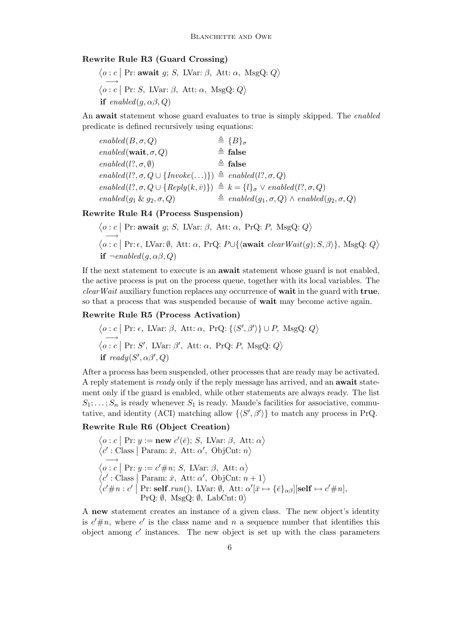#### Rewrite Rule R3 (Guard Crossing)

$$
\langle o : c | \text{Pr: await } g; S, \text{ LVar: } \beta, \text{ Att: } \alpha, \text{ MsgQ: } Q \rangle
$$
  

$$
\langle o : c | \text{Pr: } S, \text{ LVar: } \beta, \text{ Att: } \alpha, \text{ MsgQ: } Q \rangle
$$
  
if  $enabled(g, \alpha\beta, Q)$ 

An **await** statement whose guard evaluates to true is simply skipped. The *enabled* predicate is defined recursively using equations:

 $enabeled(B, \sigma, Q) \triangleq {B}_{\sigma}$ enabled(wait,  $\sigma$ , Q)  $\triangleq$  false enabled(l?,  $\sigma$ ,  $\emptyset$ )  $\triangleq$  false  $enabeled(l?, \sigma, Q \cup \{ Invoke(\ldots) \}) \triangleq enabled(l?, \sigma, Q)$ enabled $(l?, \sigma, Q \cup \{Reply(k, \bar{v})\}) \triangleq k = \{l\}_{\sigma} \vee enabled(l?, \sigma, Q)$ enabled(g<sub>1</sub> & g<sub>2</sub>,  $\sigma$ , Q)  $\triangleq$  enabled(g<sub>1</sub>,  $\sigma$ , Q)  $\land$  enabled(g<sub>2</sub>,  $\sigma$ , Q)

Rewrite Rule R4 (Process Suspension)

$$
\langle o : c | \text{Pr: await } g; S, \text{ LVar: } \beta, \text{ Att: } \alpha, \text{ PrQ: } P, \text{ MsgQ: } Q \rangle
$$
  
\n
$$
\langle o : c | \text{ Pr: } \epsilon, \text{ LVar: } \emptyset, \text{ Att: } \alpha, \text{ PrQ: } P \cup \{ \langle \text{await } clearWait(g); S, \beta \rangle \}, \text{ MsgQ: } Q \rangle
$$
  
\n**if**  $\neg enabled(g, \alpha\beta, Q)$ 

If the next statement to execute is an await statement whose guard is not enabled, the active process is put on the process queue, together with its local variables. The clear Wait auxiliary function replaces any occurrence of **wait** in the guard with **true**, so that a process that was suspended because of **wait** may become active again.

#### Rewrite Rule R5 (Process Activation)

$$
\langle o : c | \text{Pr: } \epsilon, \text{ LVar: } \beta, \text{ Att: } \alpha, \text{ PrQ: } \{ \langle S', \beta' \rangle \} \cup P, \text{ MsgQ: } Q \rangle
$$
  

$$
\langle o : c | \text{Pr: } S', \text{ LVar: } \beta', \text{ Att: } \alpha, \text{ PrQ: } P, \text{ MsgQ: } Q \rangle
$$
  
if  $ready(S', \alpha\beta', Q)$ 

After a process has been suspended, other processes that are ready may be activated. A reply statement is ready only if the reply message has arrived, and an await statement only if the guard is enabled, while other statements are always ready. The list  $S_1; \ldots; S_n$  is ready whenever  $S_1$  is ready. Maude's facilities for associative, commutative, and identity (ACI) matching allow  $\{\langle S', \beta'\rangle\}$  to match any process in PrQ.

#### Rewrite Rule R6 (Object Creation)

$$
\langle o : c | \text{Pr: } y := \text{new } c'(\bar{e}); S, \text{ LVar: } \beta, \text{ Att: } \alpha \rangle
$$
  

$$
\langle c' : \text{Class} | \text{Param: } \bar{x}, \text{ Att: } \alpha', \text{ Obj} \text{Cnt: } n \rangle
$$
  

$$
\overrightarrow{\langle o : c | \text{Pr: } y := c' \# n; S, \text{ LVar: } \beta, \text{ Att: } \alpha \rangle}
$$
  

$$
\langle c' : \text{Class} | \text{Param: } \bar{x}, \text{ Att: } \alpha', \text{ Obj} \text{Cnt: } n + 1 \rangle
$$
  

$$
\langle c' \# n : c' | \text{Pr: } \text{self. run(), } \text{LVar: } \emptyset, \text{ Att: } \alpha'[\bar{x} \mapsto {\bar{e}}]_{\alpha\beta}] [\text{self} \mapsto c' \# n],
$$
  

$$
\text{PrQ: } \emptyset, \text{ MsgQ: } \emptyset, \text{ LabCnt: } 0 \rangle
$$

A new statement creates an instance of a given class. The new object's identity is  $c' \# n$ , where c' is the class name and n a sequence number that identifies this object among  $c'$  instances. The new object is set up with the class parameters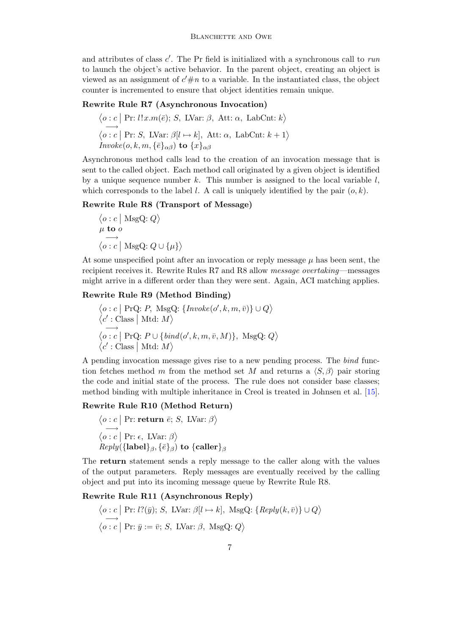and attributes of class  $c'$ . The Pr field is initialized with a synchronous call to run to launch the object's active behavior. In the parent object, creating an object is viewed as an assignment of  $c' \# n$  to a variable. In the instantiated class, the object counter is incremented to ensure that object identities remain unique.

#### Rewrite Rule R7 (Asynchronous Invocation)

$$
\langle o : c | \text{Pr: } l!x.m(\bar{e}); S, \text{ LVar: } \beta, \text{ Att: } \alpha, \text{ LabCnt: } k \rangle
$$
  

$$
\langle o : c | \text{Pr: } S, \text{ LVar: } \beta[l \mapsto k], \text{ Att: } \alpha, \text{ LabCnt: } k + 1 \rangle
$$
  
Invoke $(o, k, m, {\bar{\epsilon}}_{\alpha\beta})$  to  ${x}_{\alpha\beta}$ 

Asynchronous method calls lead to the creation of an invocation message that is sent to the called object. Each method call originated by a given object is identified by a unique sequence number k. This number is assigned to the local variable  $l$ , which corresponds to the label l. A call is uniquely identified by the pair  $(o, k)$ .

#### Rewrite Rule R8 (Transport of Message)

 $\big\langle o:c \bigm| {\rm{MsgQ}}{:}\ Q\big\rangle$  $\mu$  to  $o$  $\langle$  −→  $o:c\bigm|\operatorname{MsgQ}:Q\cup\{\mu\}\big>$ 

At some unspecified point after an invocation or reply message  $\mu$  has been sent, the recipient receives it. Rewrite Rules R7 and R8 allow message overtaking—messages might arrive in a different order than they were sent. Again, ACI matching applies.

#### Rewrite Rule R9 (Method Binding)

$$
\langle o : c | \text{PrQ: } P, \text{ MsgQ: } \{ Invoke(o', k, m, \bar{v}) \} \cup Q \rangle
$$
  

$$
\langle c' : \text{Class} | \text{ Mtd: } M \rangle
$$
  

$$
\langle o : c | \text{PrQ: } P \cup \{ bind(o', k, m, \bar{v}, M) \}, \text{ MsgQ: } Q \rangle
$$
  

$$
\langle c' : \text{Class} | \text{ Mtd: } M \rangle
$$

A pending invocation message gives rise to a new pending process. The bind function fetches method m from the method set M and returns a  $\langle S, \beta \rangle$  pair storing the code and initial state of the process. The rule does not consider base classes; method binding with multiple inheritance in Creol is treated in Johnsen et al. [\[15\]](#page-14-4).

#### Rewrite Rule R10 (Method Return)

$$
\langle o : c | \text{Pr: return } \overline{e}; S, \text{ LVar: } \beta \rangle
$$
  

$$
\langle o : c | \text{Pr: } \epsilon, \text{ LVar: } \beta \rangle
$$
  
Reply({**label**}, { $\overline{e}$ },  $\overline{e}$ }) to {**caller**} $\beta$ 

The return statement sends a reply message to the caller along with the values of the output parameters. Reply messages are eventually received by the calling object and put into its incoming message queue by Rewrite Rule R8.

#### Rewrite Rule R11 (Asynchronous Reply)

$$
\langle o : c | \text{Pr: } l?(\bar{y}); S, \text{ LVar: } \beta[l \mapsto k], \text{ MsgQ: } \{ \text{Reply}(k, \bar{v}) \} \cup Q \rangle
$$
  

$$
\langle o : c | \text{Pr: } \bar{y} := \bar{v}; S, \text{ LVar: } \beta, \text{ MsgQ: } Q \rangle
$$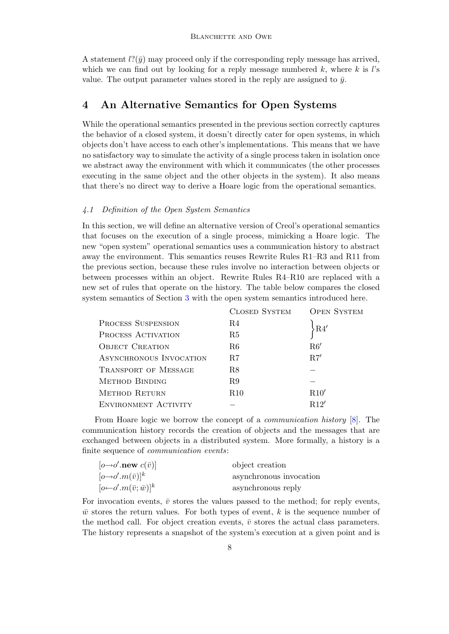A statement  $l?(\bar{y})$  may proceed only if the corresponding reply message has arrived, which we can find out by looking for a reply message numbered  $k$ , where k is l's value. The output parameter values stored in the reply are assigned to  $\bar{y}$ .

### <span id="page-7-0"></span>4 An Alternative Semantics for Open Systems

While the operational semantics presented in the previous section correctly captures the behavior of a closed system, it doesn't directly cater for open systems, in which objects don't have access to each other's implementations. This means that we have no satisfactory way to simulate the activity of a single process taken in isolation once we abstract away the environment with which it communicates (the other processes executing in the same object and the other objects in the system). It also means that there's no direct way to derive a Hoare logic from the operational semantics.

#### <span id="page-7-1"></span>4.1 Definition of the Open System Semantics

In this section, we will define an alternative version of Creol's operational semantics that focuses on the execution of a single process, mimicking a Hoare logic. The new "open system" operational semantics uses a communication history to abstract away the environment. This semantics reuses Rewrite Rules R1–R3 and R11 from the previous section, because these rules involve no interaction between objects or between processes within an object. Rewrite Rules R4–R10 are replaced with a new set of rules that operate on the history. The table below compares the closed system semantics of Section [3](#page-3-0) with the open system semantics introduced here.

|                           | CLOSED SYSTEM | <b>OPEN SYSTEM</b>   |
|---------------------------|---------------|----------------------|
| <b>PROCESS SUSPENSION</b> | R4            |                      |
| PROCESS ACTIVATION        | R5            | $\cdot$ R4 $^\prime$ |
| <b>OBJECT CREATION</b>    | R6            | R6'                  |
| ASYNCHRONOUS INVOCATION   | R7            | R7'                  |
| TRANSPORT OF MESSAGE      | R8            |                      |
| <b>METHOD BINDING</b>     | R9            |                      |
| <b>METHOD RETURN</b>      | R.10          | R10'                 |
| ENVIRONMENT ACTIVITY      |               | R12'                 |

From Hoare logic we borrow the concept of a communication history [\[8\]](#page-14-6). The communication history records the creation of objects and the messages that are exchanged between objects in a distributed system. More formally, a history is a finite sequence of communication events:

| $[o \rightarrow o'$ .new $c(\bar{v})]$    | object creation         |
|-------------------------------------------|-------------------------|
| $[0\rightarrow o'.m(\bar{v})]^k$          | asynchronous invocation |
| $[o \leftarrow o'.m(\bar{v}; \bar{w})]^k$ | asynchronous reply      |

For invocation events,  $\bar{v}$  stores the values passed to the method; for reply events,  $\bar{w}$  stores the return values. For both types of event, k is the sequence number of the method call. For object creation events,  $\bar{v}$  stores the actual class parameters. The history represents a snapshot of the system's execution at a given point and is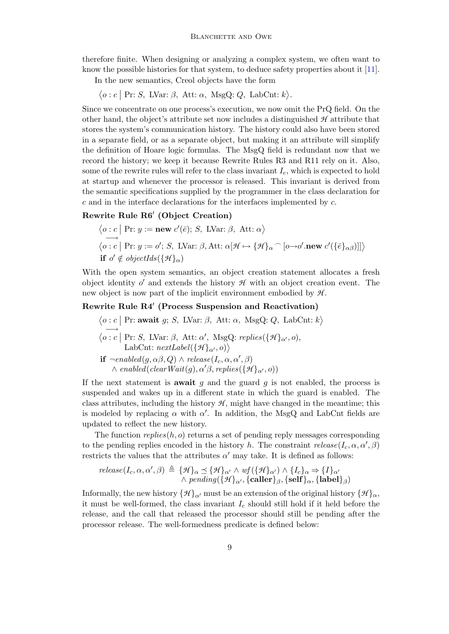therefore finite. When designing or analyzing a complex system, we often want to know the possible histories for that system, to deduce safety properties about it [\[11\]](#page-14-0).

In the new semantics, Creol objects have the form

 $\langle o : c |$  Pr: S, LVar:  $\beta$ , Att:  $\alpha$ , MsgQ:  $Q$ , LabCnt:  $k \rangle$ .

Since we concentrate on one process's execution, we now omit the PrQ field. On the other hand, the object's attribute set now includes a distinguished *H* attribute that stores the system's communication history. The history could also have been stored in a separate field, or as a separate object, but making it an attribute will simplify the definition of Hoare logic formulas. The MsgQ field is redundant now that we record the history; we keep it because Rewrite Rules R3 and R11 rely on it. Also, some of the rewrite rules will refer to the class invariant  $I_c$ , which is expected to hold at startup and whenever the processor is released. This invariant is derived from the semantic specifications supplied by the programmer in the class declaration for  $c$  and in the interface declarations for the interfaces implemented by  $c$ .

### Rewrite Rule R6' (Object Creation)

$$
\langle o : c | \text{Pr: } y := \textbf{new } c'(\bar{e}); S, \text{ LVar: } \beta, \text{ Att: } \alpha \rangle
$$
  
\n
$$
\langle o : c | \text{Pr: } y := o'; S, \text{ LVar: } \beta, \text{ Att: } \alpha[\mathcal{H} \mapsto {\{\mathcal{H}\}}_{\alpha} \cap [o \rightarrow o'.\textbf{new } c'({\{\bar{e}\}}_{\alpha\beta})]] \rangle
$$
  
\n**if**  $o' \notin \text{objectIds}({\{\mathcal{H}\}}_{\alpha})$ 

With the open system semantics, an object creation statement allocates a fresh object identity  $o'$  and extends the history  $H$  with an object creation event. The new object is now part of the implicit environment embodied by *H* .

### Rewrite Rule R4' (Process Suspension and Reactivation)

 $\langle o : c |$  Pr: await g; S, LVar:  $\beta$ , Att:  $\alpha$ , MsgQ: Q, LabCnt:  $k \rangle$  $\langle$  −→  $o: c \mid \text{Pr: } S, \text{ LVar: } \beta, \text{ Att: } \alpha', \text{ MsgQ: } replies(\lbrace \mathcal{H} \rbrace_{\alpha'}, o),$ LabCnt:  $nextLabel(\{\mathcal{H}\}_{\alpha'}, o)$ if  $\neg\mathit{enabeled}(g, \alpha\beta, Q) \land \mathit{release}(I_c, \alpha, \alpha', \beta)$  $\land$  enabled(clear Wait(q),  $\alpha' \beta$ , replies({*H*}<sub> $\alpha'$ </sub>, o))

If the next statement is **await** g and the guard g is not enabled, the process is suspended and wakes up in a different state in which the guard is enabled. The class attributes, including the history  $H$ , might have changed in the meantime; this is modeled by replacing  $\alpha$  with  $\alpha'$ . In addition, the MsgQ and LabCnt fields are updated to reflect the new history.

The function  $replies(h, o)$  returns a set of pending reply messages corresponding to the pending replies encoded in the history h. The constraint  $release(I_c, \alpha, \alpha', \beta)$ restricts the values that the attributes  $\alpha'$  may take. It is defined as follows:

$$
\begin{array}{rcl}\mathit{release}(I_c, \alpha, \alpha', \beta) \triangleq \{ \mathcal{H} \}_{\alpha} \preceq \{ \mathcal{H} \}_{\alpha'} \land \mathit{wf}(\{ \mathcal{H} \}_{\alpha'}) \land \{ I_c \}_{\alpha} \Rightarrow \{ I \}_{\alpha'}\\ \land \mathit{pending}(\{ \mathcal{H} \}_{\alpha'}, \{ \text{caller} \}_{\beta}, \{ \text{self} \}_{\alpha}, \{ \text{label} \}_{\beta})\end{array}
$$

Informally, the new history  $\{\mathcal{H}\}_{\alpha}$  must be an extension of the original history  $\{\mathcal{H}\}_{\alpha}$ , it must be well-formed, the class invariant  $I_c$  should still hold if it held before the release, and the call that released the processor should still be pending after the processor release. The well-formedness predicate is defined below: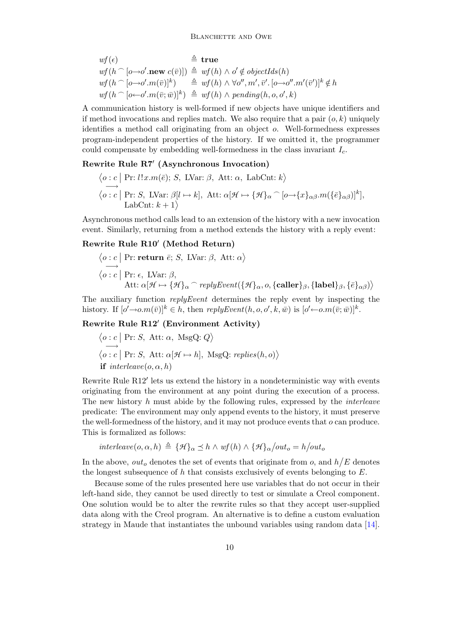$wf(\epsilon)$   $\triangleq$  true  $wf(h \cap [\overline{o} \rightarrow o'.\mathbf{new} \ c(\overline{v})]) \triangleq wf(h) \wedge o' \notin objectIds(h)$  $wf(h \cap [\overline{o} \rightarrow o'.m(\overline{v})]^k) \cong wf(h) \wedge \forall o'', m', \overline{v}'.[\overline{o} \rightarrow o''.m'(\overline{v}')]^k \notin h$  $wf(h \cap [\overline{o} \leftarrow o'.m(\overline{v}; \overline{w})]^k) \triangleq wf(h) \wedge pending(h, o, o', k)$ 

A communication history is well-formed if new objects have unique identifiers and if method invocations and replies match. We also require that a pair  $(o, k)$  uniquely identifies a method call originating from an object o. Well-formedness expresses program-independent properties of the history. If we omitted it, the programmer could compensate by embedding well-formedness in the class invariant  $I_c$ .

### Rewrite Rule R7' (Asynchronous Invocation)

$$
\langle o : c | \text{Pr: } l!x.m(\bar{e}); S, \text{ LVar: } \beta, \text{ Att: } \alpha, \text{ LabCnt: } k \rangle
$$
  

$$
\langle o : c | \text{Pr: } S, \text{ LVar: } \beta[l \mapsto k], \text{ Att: } \alpha[\mathcal{H} \mapsto {\{\mathcal{H}\}_\alpha \cap [\mathcal{O} \to \{x\}_{\alpha\beta}.m(\{\bar{e}\}_{\alpha\beta})]^k}],
$$
  
LabCnt:  $k + 1 \rangle$ 

Asynchronous method calls lead to an extension of the history with a new invocation event. Similarly, returning from a method extends the history with a reply event:

### Rewrite Rule R10' (Method Return)

$$
\langle o : c | \text{Pr: return } \overline{e}; S, \text{ LVar: } \beta, \text{ Att: } \alpha \rangle
$$
  
\n
$$
\langle o : c | \text{Pr: } \epsilon, \text{ LVar: } \beta, \text{ Att: } \alpha[\mathcal{H} \mapsto {\{\mathcal{H}\}}_{\alpha} \cap \text{replyEvent}({\{\mathcal{H}\}}_{\alpha}, o, {\{\text{caller}\}}_{\beta}, {\{\text{label}\}}_{\beta}, {\{\overline{e}\}}_{\alpha\beta}) \rangle
$$

The auxiliary function  $replyEvent$  determines the reply event by inspecting the history. If  $[\overline{o' \rightarrow o.m(\bar{v})}]^k \in h$ , then  $replyEvent(h, o, o', k, \bar{w})$  is  $[\overline{o' \leftarrow o.m(\bar{v}; \bar{w})}]^k$ .

### Rewrite Rule R12' (Environment Activity)

$$
\langle o : c | \text{Pr: } S, \text{ Att: } \alpha, \text{ MsgQ: } Q \rangle
$$
  

$$
\langle o : c | \text{Pr: } S, \text{ Att: } \alpha[\mathcal{H} \mapsto h], \text{ MsgQ: replies(h, o) \rangle
$$
  
**if** *interleave*(o,  $\alpha, h$ )

Rewrite Rule R12' lets us extend the history in a nondeterministic way with events originating from the environment at any point during the execution of a process. The new history h must abide by the following rules, expressed by the interleave predicate: The environment may only append events to the history, it must preserve the well-formedness of the history, and it may not produce events that o can produce. This is formalized as follows:

interleave
$$
(o, \alpha, h)
$$
  $\triangleq$  { $\mathcal{H}$ } <sub>$\alpha$</sub>   $\leq$   $h \wedge wf(h) \wedge {\mathcal{H}}$ } <sub>$\alpha$</sub> /out <sub>$o$</sub>  =  $h/out_o$ 

In the above,  $out_o$  denotes the set of events that originate from  $o$ , and  $h/E$  denotes the longest subsequence of h that consists exclusively of events belonging to  $E$ .

Because some of the rules presented here use variables that do not occur in their left-hand side, they cannot be used directly to test or simulate a Creol component. One solution would be to alter the rewrite rules so that they accept user-supplied data along with the Creol program. An alternative is to define a custom evaluation strategy in Maude that instantiates the unbound variables using random data [\[14\]](#page-14-3).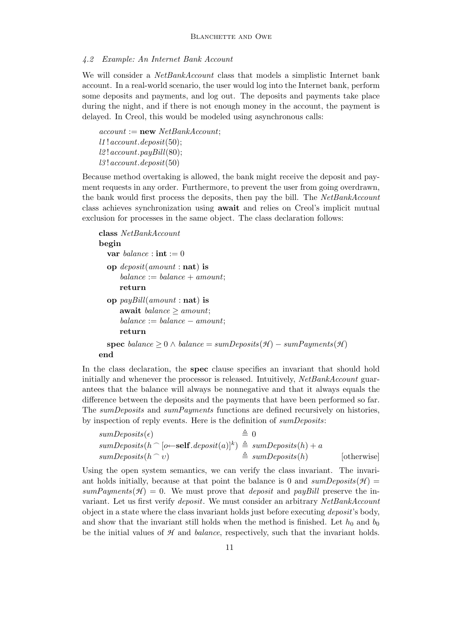#### 4.2 Example: An Internet Bank Account

We will consider a *NetBankAccount* class that models a simplistic Internet bank account. In a real-world scenario, the user would log into the Internet bank, perform some deposits and payments, and log out. The deposits and payments take place during the night, and if there is not enough money in the account, the payment is delayed. In Creol, this would be modeled using asynchronous calls:

 $account := new NetBankAccount;$  $l1!$   $account.deposit(50);$  $l2!$   $account.py$   $Bill(80);$  $l3!$   $account.deposit(50)$ 

Because method overtaking is allowed, the bank might receive the deposit and payment requests in any order. Furthermore, to prevent the user from going overdrawn, the bank would first process the deposits, then pay the bill. The NetBankAccount class achieves synchronization using await and relies on Creol's implicit mutual exclusion for processes in the same object. The class declaration follows:

```
class NetBankAccount
begin
  var balance : \text{int} := 0op deposit(amount : nat) is
      balance := balance + amount;return
  op payBill(amount : nat) is
      await balance \ge amount;
      balance := balance - amount;return
  spec balance \geq 0 \wedge balance = sumDeposits(\mathcal{H}) – sumPayments(\mathcal{H})
```
end

In the class declaration, the spec clause specifies an invariant that should hold initially and whenever the processor is released. Intuitively,  $NetBankAccount$  guarantees that the balance will always be nonnegative and that it always equals the difference between the deposits and the payments that have been performed so far. The sumDeposits and sumPayments functions are defined recursively on histories, by inspection of reply events. Here is the definition of sumDeposits:

$$
sumDeposits(\epsilon) \triangleq 0
$$
  
\n
$$
sumDeposits(h \cap [o \leftarrow \text{self}.deposit(a)]^k) \triangleq sumDeposits(h) + a
$$
  
\n
$$
sumDeposits(h \cap v) \triangleq sumDeposits(h)
$$
  
\n
$$
\triangleq sumDeposits(h)
$$
  
\n
$$
\triangleq sumDeposits(h)
$$
  
\n
$$
\triangleq sumDeposits(h)
$$

Using the open system semantics, we can verify the class invariant. The invariant holds initially, because at that point the balance is 0 and  $sumDeposis(\mathcal{H}) =$  $sumPayments(\mathcal{H}) = 0$ . We must prove that *deposit* and *payBill* preserve the invariant. Let us first verify *deposit*. We must consider an arbitrary *NetBankAccount* object in a state where the class invariant holds just before executing deposit's body, and show that the invariant still holds when the method is finished. Let  $h_0$  and  $b_0$ be the initial values of *H* and balance, respectively, such that the invariant holds.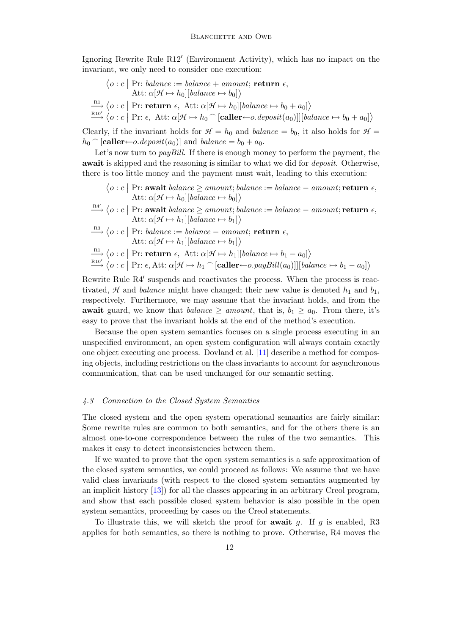Ignoring Rewrite Rule R12' (Environment Activity), which has no impact on the invariant, we only need to consider one execution:

$$
\langle o : c | \text{Pr: balance} := balance + amount; \text{ return } \epsilon,
$$
  
Att:  $\alpha[\mathcal{H} \mapsto h_0][balance \mapsto b_0] \rangle$   

$$
\xrightarrow{\text{R1}} \langle o : c | \text{Pr: return } \epsilon, \text{ Att: } \alpha[\mathcal{H} \mapsto h_0][balance \mapsto b_0 + a_0] \rangle
$$
  

$$
\xrightarrow{\text{R10}'} \langle o : c | \text{Pr: } \epsilon, \text{ Att: } \alpha[\mathcal{H} \mapsto h_0 \cap [ \text{caller} \leftarrow o \text{.} deposit(a_0)] | [balance \mapsto b_0 + a_0] \rangle
$$

Clearly, if the invariant holds for  $H = h_0$  and balance  $= b_0$ , it also holds for  $H =$  $h_0 \cap [ \text{caller} \leftarrow o \ldotp deposit(a_0) ]$  and  $\textit{balance} = b_0 + a_0.$ 

Let's now turn to *payBill*. If there is enough money to perform the payment, the await is skipped and the reasoning is similar to what we did for *deposit*. Otherwise, there is too little money and the payment must wait, leading to this execution:

- $\langle o : c \mid \text{Pr: await balance} \geq amount; balance := balance amount; return \epsilon,$ Att:  $\alpha[\mathcal{H} \mapsto h_0][balance \mapsto b_0]\rangle$
- $\overrightarrow{A}$   $\langle o : c \mid \text{Pr: await balance} \geq amount; balance := balance amount; return \epsilon,$ Att:  $\alpha[\mathcal{H} \mapsto h_1][balance \mapsto b_1]\rangle$

$$
\xrightarrow{\text{R3}} \langle o : c \mid \text{Pr: } balance := balance - amount; \text{ return } \epsilon, \\ \text{Att: } \alpha[\mathcal{H} \mapsto h_1][balance \mapsto b_1] \rangle
$$

$$
\xrightarrow{\text{R1}} \langle o : c \mid \text{Pr: return } \epsilon, \text{ Att: } \alpha[\mathcal{H} \mapsto h_1][balance \mapsto b_1 - a_0] \rangle
$$
  

$$
\xrightarrow{\text{R10}'} \langle o : c \mid \text{Pr: } \epsilon, \text{Att: } \alpha[\mathcal{H} \mapsto h_1 \cap [ \text{caller} \leftarrow o.\text{payBill}(a_0)]][balance \mapsto b_1 - a_0] \rangle
$$

Rewrite Rule R4' suspends and reactivates the process. When the process is reactivated,  $H$  and *balance* might have changed; their new value is denoted  $h_1$  and  $b_1$ , respectively. Furthermore, we may assume that the invariant holds, and from the **await** guard, we know that *balance*  $\ge$  *amount*, that is,  $b_1 \ge a_0$ . From there, it's easy to prove that the invariant holds at the end of the method's execution.

Because the open system semantics focuses on a single process executing in an unspecified environment, an open system configuration will always contain exactly one object executing one process. Dovland et al. [\[11\]](#page-14-0) describe a method for composing objects, including restrictions on the class invariants to account for asynchronous communication, that can be used unchanged for our semantic setting.

#### 4.3 Connection to the Closed System Semantics

The closed system and the open system operational semantics are fairly similar: Some rewrite rules are common to both semantics, and for the others there is an almost one-to-one correspondence between the rules of the two semantics. This makes it easy to detect inconsistencies between them.

If we wanted to prove that the open system semantics is a safe approximation of the closed system semantics, we could proceed as follows: We assume that we have valid class invariants (with respect to the closed system semantics augmented by an implicit history [\[13\]](#page-14-2)) for all the classes appearing in an arbitrary Creol program, and show that each possible closed system behavior is also possible in the open system semantics, proceeding by cases on the Creol statements.

To illustrate this, we will sketch the proof for **await** g. If g is enabled, R3 applies for both semantics, so there is nothing to prove. Otherwise, R4 moves the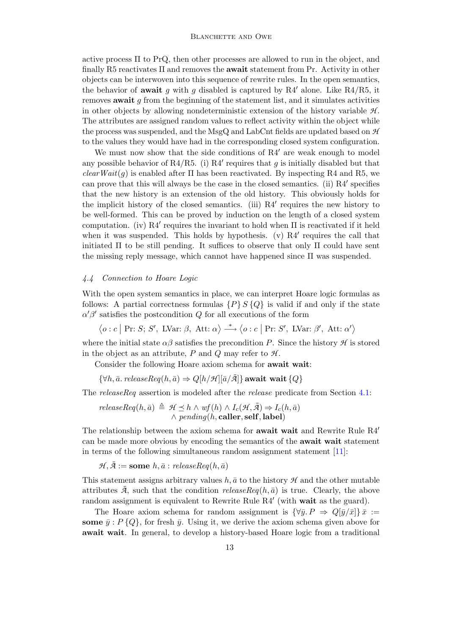active process  $\Pi$  to PrQ, then other processes are allowed to run in the object, and finally R5 reactivates  $\Pi$  and removes the **await** statement from Pr. Activity in other objects can be interwoven into this sequence of rewrite rules. In the open semantics, the behavior of **await** g with g disabled is captured by  $R4'$  alone. Like  $R4/R5$ , it removes **await**  $g$  from the beginning of the statement list, and it simulates activities in other objects by allowing nondeterministic extension of the history variable  $H$ . The attributes are assigned random values to reflect activity within the object while the process was suspended, and the MsgQ and LabCnt fields are updated based on *H* to the values they would have had in the corresponding closed system configuration.

We must now show that the side conditions of  $R4<sup>′</sup>$  are weak enough to model any possible behavior of R4/R5. (i) R4' requires that g is initially disabled but that  $clearWait(g)$  is enabled after  $\Pi$  has been reactivated. By inspecting R4 and R5, we can prove that this will always be the case in the closed semantics. (ii)  $R4'$  specifies that the new history is an extension of the old history. This obviously holds for the implicit history of the closed semantics. (iii)  $R4'$  requires the new history to be well-formed. This can be proved by induction on the length of a closed system computation. (iv)  $R4'$  requires the invariant to hold when  $\Pi$  is reactivated if it held when it was suspended. This holds by hypothesis. (v)  $R4'$  requires the call that initiated  $\Pi$  to be still pending. It suffices to observe that only  $\Pi$  could have sent the missing reply message, which cannot have happened since Π was suspended.

#### 4.4 Connection to Hoare Logic

With the open system semantics in place, we can interpret Hoare logic formulas as follows: A partial correctness formulas  $\{P\} S \{Q\}$  is valid if and only if the state  $\alpha' \beta'$  satisfies the postcondition Q for all executions of the form

$$
\left\langle o:c\ \big| \ \text{Pr:}\ S;\ S',\ \text{LVar:}\ \beta,\ \text{Att:}\ \alpha \right\rangle \stackrel{*}{\longrightarrow} \left\langle o:c\ \big| \ \text{Pr:}\ S',\ \text{LVar:}\ \beta',\ \text{Att:}\ \alpha' \right\rangle
$$

where the initial state  $\alpha\beta$  satisfies the precondition P. Since the history  $\mathcal H$  is stored in the object as an attribute,  $P$  and  $Q$  may refer to  $H$ .

Consider the following Hoare axiom schema for await wait:

 $\{\forall h, \bar{a} \text{. releaseReg}(h, \bar{a}) \Rightarrow Q[h/\mathcal{H}][\bar{a}/\bar{\mathcal{A}}]\}$  await wait  $\{Q\}$ 

The *releaseReq* assertion is modeled after the *release* predicate from Section [4.1:](#page-7-1)

$$
releaseReg(h, \bar{a}) \triangleq H \leq h \land wf(h) \land I_c(H, \bar{A}) \Rightarrow I_c(h, \bar{a})
$$
  
 
$$
\land \text{ pending}(h, \text{ caller}, \text{self}, \text{label})
$$

The relationship between the axiom schema for **await wait** and Rewrite Rule  $R4$ <sup> $\prime$ </sup> can be made more obvious by encoding the semantics of the await wait statement in terms of the following simultaneous random assignment statement [\[11\]](#page-14-0):

$$
\mathcal{H}, \bar{\mathcal{A}} := \textbf{some } h, \bar{a} : \text{releaseReg}(h, \bar{a})
$$

This statement assigns arbitrary values  $h, \bar{a}$  to the history  $H$  and the other mutable attributes  $\bar{A}$ , such that the condition releaseReq(h,  $\bar{a}$ ) is true. Clearly, the above random assignment is equivalent to Rewrite Rule R4' (with wait as the guard).

The Hoare axiom schema for random assignment is  $\{\forall \bar{y}, P \Rightarrow Q[\bar{y}/\bar{x}]\}\bar{x} :=$ some  $\bar{y}$ : P {Q}, for fresh  $\bar{y}$ . Using it, we derive the axiom schema given above for await wait. In general, to develop a history-based Hoare logic from a traditional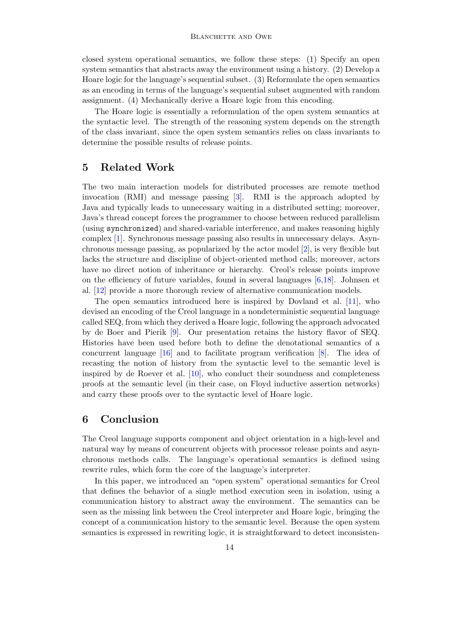closed system operational semantics, we follow these steps: (1) Specify an open system semantics that abstracts away the environment using a history. (2) Develop a Hoare logic for the language's sequential subset. (3) Reformulate the open semantics as an encoding in terms of the language's sequential subset augmented with random assignment. (4) Mechanically derive a Hoare logic from this encoding.

The Hoare logic is essentially a reformulation of the open system semantics at the syntactic level. The strength of the reasoning system depends on the strength of the class invariant, since the open system semantics relies on class invariants to determine the possible results of release points.

### <span id="page-13-0"></span>5 Related Work

The two main interaction models for distributed processes are remote method invocation (RMI) and message passing [\[3\]](#page-14-9). RMI is the approach adopted by Java and typically leads to unnecessary waiting in a distributed setting; moreover, Java's thread concept forces the programmer to choose between reduced parallelism (using synchronized) and shared-variable interference, and makes reasoning highly complex [\[1\]](#page-14-10). Synchronous message passing also results in unnecessary delays. Asynchronous message passing, as popularized by the actor model [\[2\]](#page-14-11), is very flexible but lacks the structure and discipline of object-oriented method calls; moreover, actors have no direct notion of inheritance or hierarchy. Creol's release points improve on the efficiency of future variables, found in several languages  $[6,18]$  $[6,18]$ . Johnsen et al. [\[12\]](#page-14-1) provide a more thorough review of alternative communication models.

The open semantics introduced here is inspired by Dovland et al. [\[11\]](#page-14-0), who devised an encoding of the Creol language in a nondeterministic sequential language called SEQ, from which they derived a Hoare logic, following the approach advocated by de Boer and Pierik [\[9\]](#page-14-14). Our presentation retains the history flavor of SEQ. Histories have been used before both to define the denotational semantics of a concurrent language [\[16\]](#page-14-15) and to facilitate program verification [\[8\]](#page-14-6). The idea of recasting the notion of history from the syntactic level to the semantic level is inspired by de Roever et al. [\[10\]](#page-14-16), who conduct their soundness and completeness proofs at the semantic level (in their case, on Floyd inductive assertion networks) and carry these proofs over to the syntactic level of Hoare logic.

### <span id="page-13-1"></span>6 Conclusion

The Creol language supports component and object orientation in a high-level and natural way by means of concurrent objects with processor release points and asynchronous methods calls. The language's operational semantics is defined using rewrite rules, which form the core of the language's interpreter.

In this paper, we introduced an "open system" operational semantics for Creol that defines the behavior of a single method execution seen in isolation, using a communication history to abstract away the environment. The semantics can be seen as the missing link between the Creol interpreter and Hoare logic, bringing the concept of a communication history to the semantic level. Because the open system semantics is expressed in rewriting logic, it is straightforward to detect inconsisten